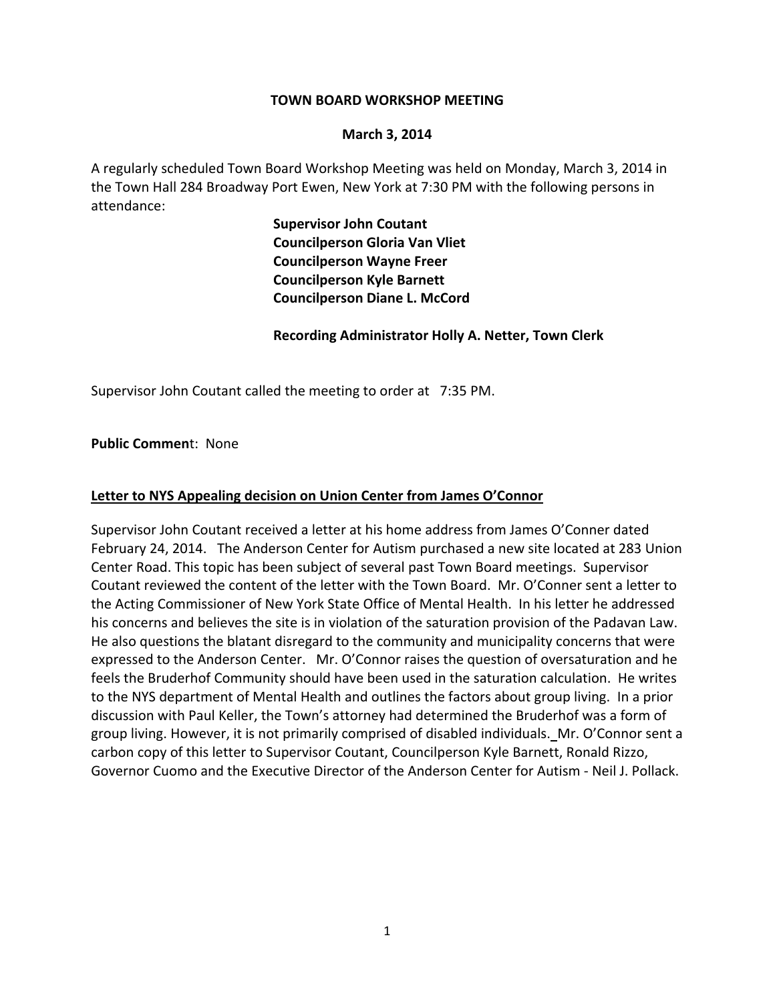#### **TOWN BOARD WORKSHOP MEETING**

#### **March 3, 2014**

A regularly scheduled Town Board Workshop Meeting was held on Monday, March 3, 2014 in the Town Hall 284 Broadway Port Ewen, New York at 7:30 PM with the following persons in attendance:

> **Supervisor John Coutant Councilperson Gloria Van Vliet Councilperson Wayne Freer Councilperson Kyle Barnett Councilperson Diane L. McCord**

 **Recording Administrator Holly A. Netter, Town Clerk**

Supervisor John Coutant called the meeting to order at 7:35 PM.

**Public Commen**t: None

#### **Letter to NYS Appealing decision on Union Center from James O'Connor**

Supervisor John Coutant received a letter at his home address from James O'Conner dated February 24, 2014. The Anderson Center for Autism purchased a new site located at 283 Union Center Road. This topic has been subject of several past Town Board meetings. Supervisor Coutant reviewed the content of the letter with the Town Board. Mr. O'Conner sent a letter to the Acting Commissioner of New York State Office of Mental Health. In his letter he addressed his concerns and believes the site is in violation of the saturation provision of the Padavan Law. He also questions the blatant disregard to the community and municipality concerns that were expressed to the Anderson Center. Mr. O'Connor raises the question of oversaturation and he feels the Bruderhof Community should have been used in the saturation calculation. He writes to the NYS department of Mental Health and outlines the factors about group living. In a prior discussion with Paul Keller, the Town's attorney had determined the Bruderhof was a form of group living. However, it is not primarily comprised of disabled individuals.Mr. O'Connor sent a carbon copy of this letter to Supervisor Coutant, Councilperson Kyle Barnett, Ronald Rizzo, Governor Cuomo and the Executive Director of the Anderson Center for Autism ‐ Neil J. Pollack.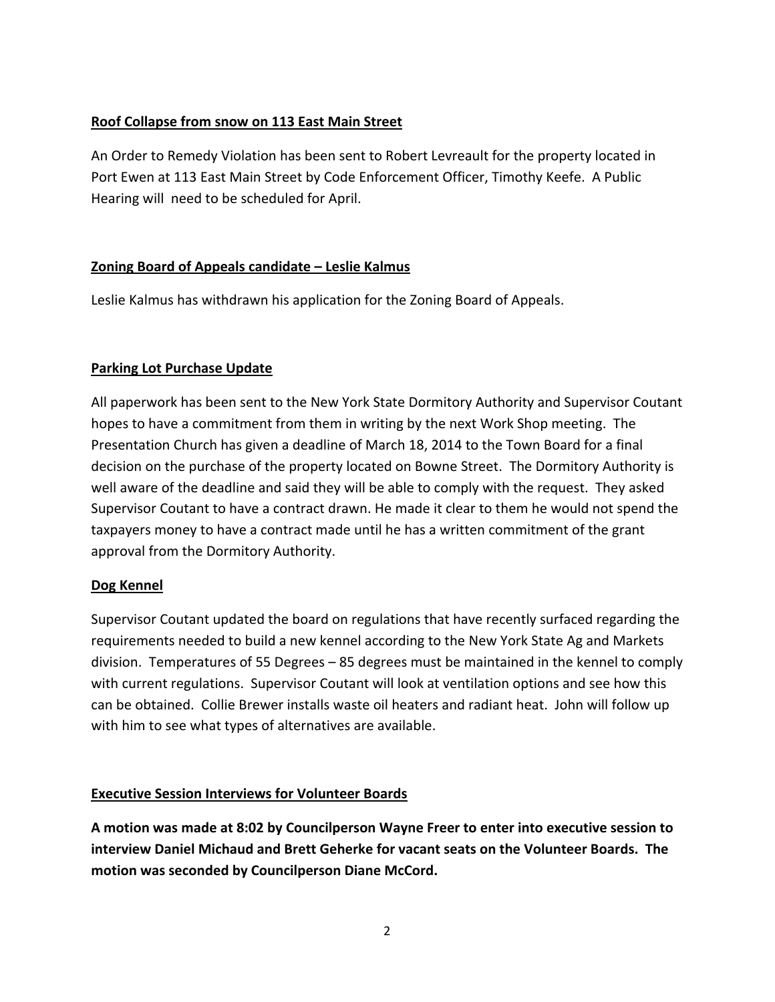# **Roof Collapse from snow on 113 East Main Street**

An Order to Remedy Violation has been sent to Robert Levreault for the property located in Port Ewen at 113 East Main Street by Code Enforcement Officer, Timothy Keefe. A Public Hearing will need to be scheduled for April.

## **Zoning Board of Appeals candidate – Leslie Kalmus**

Leslie Kalmus has withdrawn his application for the Zoning Board of Appeals.

## **Parking Lot Purchase Update**

All paperwork has been sent to the New York State Dormitory Authority and Supervisor Coutant hopes to have a commitment from them in writing by the next Work Shop meeting. The Presentation Church has given a deadline of March 18, 2014 to the Town Board for a final decision on the purchase of the property located on Bowne Street. The Dormitory Authority is well aware of the deadline and said they will be able to comply with the request. They asked Supervisor Coutant to have a contract drawn. He made it clear to them he would not spend the taxpayers money to have a contract made until he has a written commitment of the grant approval from the Dormitory Authority.

## **Dog Kennel**

Supervisor Coutant updated the board on regulations that have recently surfaced regarding the requirements needed to build a new kennel according to the New York State Ag and Markets division. Temperatures of 55 Degrees – 85 degrees must be maintained in the kennel to comply with current regulations. Supervisor Coutant will look at ventilation options and see how this can be obtained. Collie Brewer installs waste oil heaters and radiant heat. John will follow up with him to see what types of alternatives are available.

## **Executive Session Interviews for Volunteer Boards**

**A motion was made at 8:02 by Councilperson Wayne Freer to enter into executive session to interview Daniel Michaud and Brett Geherke for vacant seats on the Volunteer Boards. The motion was seconded by Councilperson Diane McCord.**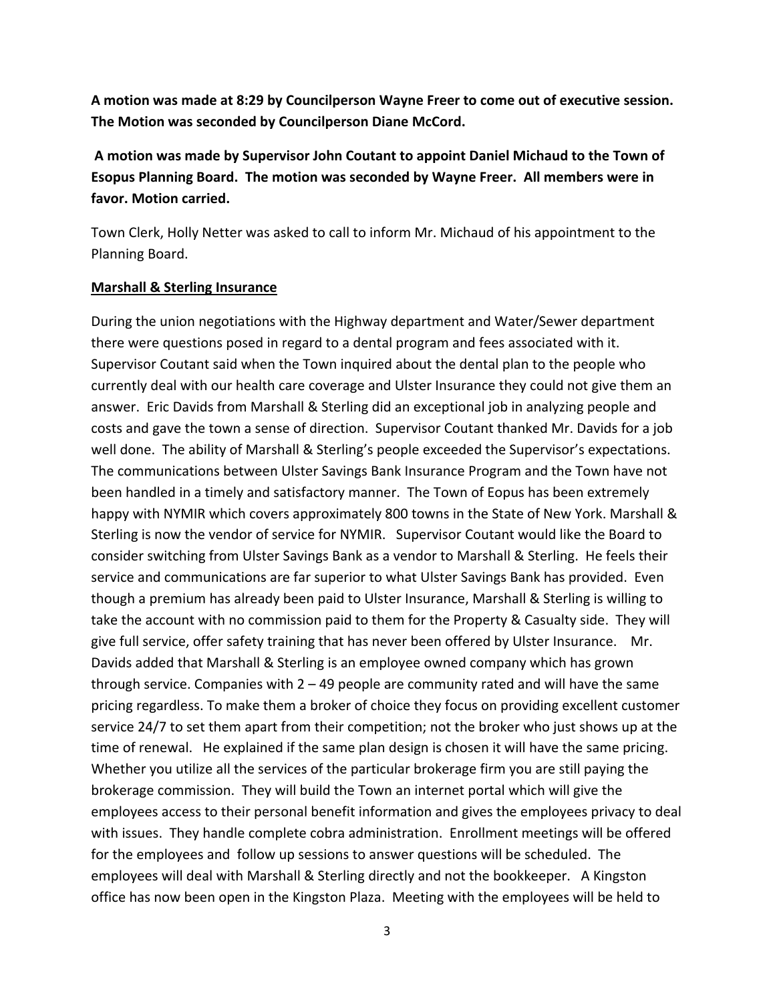**A motion was made at 8:29 by Councilperson Wayne Freer to come out of executive session. The Motion was seconded by Councilperson Diane McCord.**

**A motion was made by Supervisor John Coutant to appoint Daniel Michaud to the Town of Esopus Planning Board. The motion was seconded by Wayne Freer. All members were in favor. Motion carried.**

Town Clerk, Holly Netter was asked to call to inform Mr. Michaud of his appointment to the Planning Board.

#### **Marshall & Sterling Insurance**

During the union negotiations with the Highway department and Water/Sewer department there were questions posed in regard to a dental program and fees associated with it. Supervisor Coutant said when the Town inquired about the dental plan to the people who currently deal with our health care coverage and Ulster Insurance they could not give them an answer. Eric Davids from Marshall & Sterling did an exceptional job in analyzing people and costs and gave the town a sense of direction. Supervisor Coutant thanked Mr. Davids for a job well done. The ability of Marshall & Sterling's people exceeded the Supervisor's expectations. The communications between Ulster Savings Bank Insurance Program and the Town have not been handled in a timely and satisfactory manner. The Town of Eopus has been extremely happy with NYMIR which covers approximately 800 towns in the State of New York. Marshall & Sterling is now the vendor of service for NYMIR. Supervisor Coutant would like the Board to consider switching from Ulster Savings Bank as a vendor to Marshall & Sterling. He feels their service and communications are far superior to what Ulster Savings Bank has provided. Even though a premium has already been paid to Ulster Insurance, Marshall & Sterling is willing to take the account with no commission paid to them for the Property & Casualty side. They will give full service, offer safety training that has never been offered by Ulster Insurance. Mr. Davids added that Marshall & Sterling is an employee owned company which has grown through service. Companies with 2 – 49 people are community rated and will have the same pricing regardless. To make them a broker of choice they focus on providing excellent customer service 24/7 to set them apart from their competition; not the broker who just shows up at the time of renewal. He explained if the same plan design is chosen it will have the same pricing. Whether you utilize all the services of the particular brokerage firm you are still paying the brokerage commission. They will build the Town an internet portal which will give the employees access to their personal benefit information and gives the employees privacy to deal with issues. They handle complete cobra administration. Enrollment meetings will be offered for the employees and follow up sessions to answer questions will be scheduled. The employees will deal with Marshall & Sterling directly and not the bookkeeper. A Kingston office has now been open in the Kingston Plaza. Meeting with the employees will be held to

3